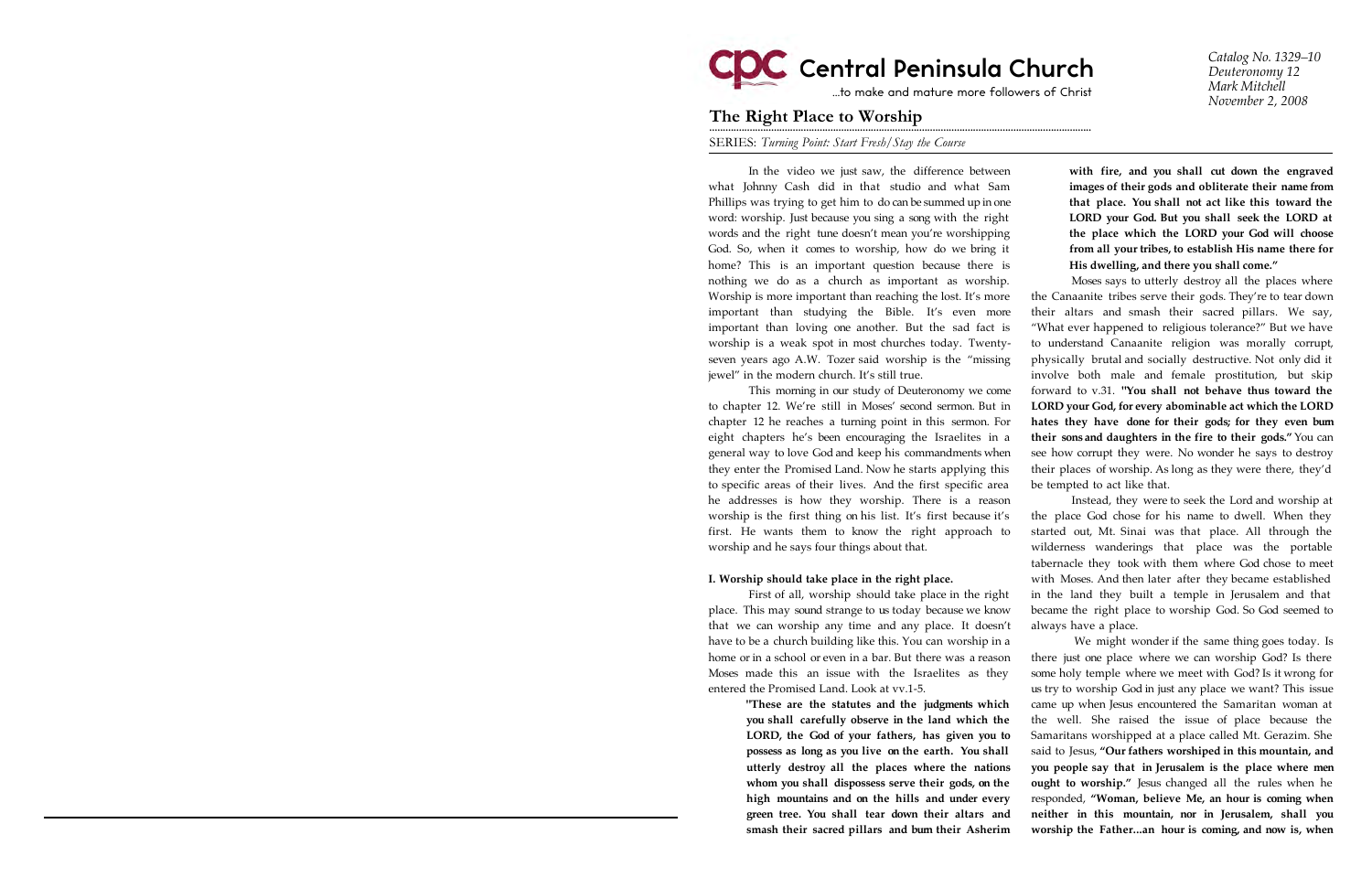# **CDC** Central Peninsula Church

…to make and mature more followers of Christ

*Catalog No. 1329–10 Deuteronomy 12 Mark Mitchell November 2, 2008*

## The Right Place to Worship

SERIES: *Turning Point: Start Fresh/Stay the Course*

In the video we just saw, the difference between what Johnny Cash did in that studio and what Sam Phillips was trying to get him to do can be summed up in one word: worship. Just because you sing a song with the right words and the right tune doesn't mean you're worshipping God. So, when it comes to worship, how do we bring it home? This is an important question because there is nothing we do as a church as important as worship. Worship is more important than reaching the lost. It's more important than studying the Bible. It's even more important than loving one another. But the sad fact is worship is a weak spot in most churches today. Twentyseven years ago A.W. Tozer said worship is the "missing jewel" in the modern church. It's still true.

This morning in our study of Deuteronomy we come to chapter 12. We're still in Moses' second sermon. But in chapter 12 he reaches a turning point in this sermon. For eight chapters he's been encouraging the Israelites in a general way to love God and keep his commandments when they enter the Promised Land. Now he starts applying this to specific areas of their lives. And the first specific area he addresses is how they worship. There is a reason worship is the first thing on his list. It's first because it's first. He wants them to know the right approach to worship and he says four things about that.

### **I. Worship should take place in the right place.**

First of all, worship should take place in the right place. This may sound strange to us today because we know that we can worship any time and any place. It doesn't have to be a church building like this. You can worship in a home or in a school or even in a bar. But there was a reason Moses made this an issue with the Israelites as they entered the Promised Land. Look at vv.1-5.

> **"These are the statutes and the judgments which you shall carefully observe in the land which the LORD, the God of your fathers, has given you to possess as long as you live on the earth. You shall utterly destroy all the places where the nations whom you shall dispossess serve their gods, on the high mountains and on the hills and under every green tree. You shall tear down their altars and smash their sacred pillars and burn their Asherim**

**with fire, and you shall cut down the engraved images of their gods and obliterate their name from that place. You shall not act like this toward the LORD your God. But you shall seek the LORD at the place which the LORD your God will choose from all your tribes, to establish His name there for His dwelling, and there you shall come."**

Moses says to utterly destroy all the places where the Canaanite tribes serve their gods. They're to tear down their altars and smash their sacred pillars. We say, "What ever happened to religious tolerance?" But we have to understand Canaanite religion was morally corrupt, physically brutal and socially destructive. Not only did it involve both male and female prostitution, but skip forward to v.31. **"You shall not behave thus toward the LORD your God, for every abominable act which the LORD hates they have done for their gods; for they even burn their sons and daughters in the fire to their gods."** You can see how corrupt they were. No wonder he says to destroy their places of worship. As long as they were there, they'd be tempted to act like that.

Instead, they were to seek the Lord and worship at the place God chose for his name to dwell. When they started out, Mt. Sinai was that place. All through the wilderness wanderings that place was the portable tabernacle they took with them where God chose to meet with Moses. And then later after they became established in the land they built a temple in Jerusalem and that became the right place to worship God. So God seemed to always have a place.

We might wonder if the same thing goes today. Is there just one place where we can worship God? Is there some holy temple where we meet with God? Is it wrong for us try to worship God in just any place we want? This issue came up when Jesus encountered the Samaritan woman at the well. She raised the issue of place because the Samaritans worshipped at a place called Mt. Gerazim. She said to Jesus, **"Our fathers worshiped in this mountain, and you people say that in Jerusalem is the place where men ought to worship."** Jesus changed all the rules when he responded, **"Woman, believe Me, an hour is coming when neither in this mountain, nor in Jerusalem, shall you worship the Father...an hour is coming, and now is, when**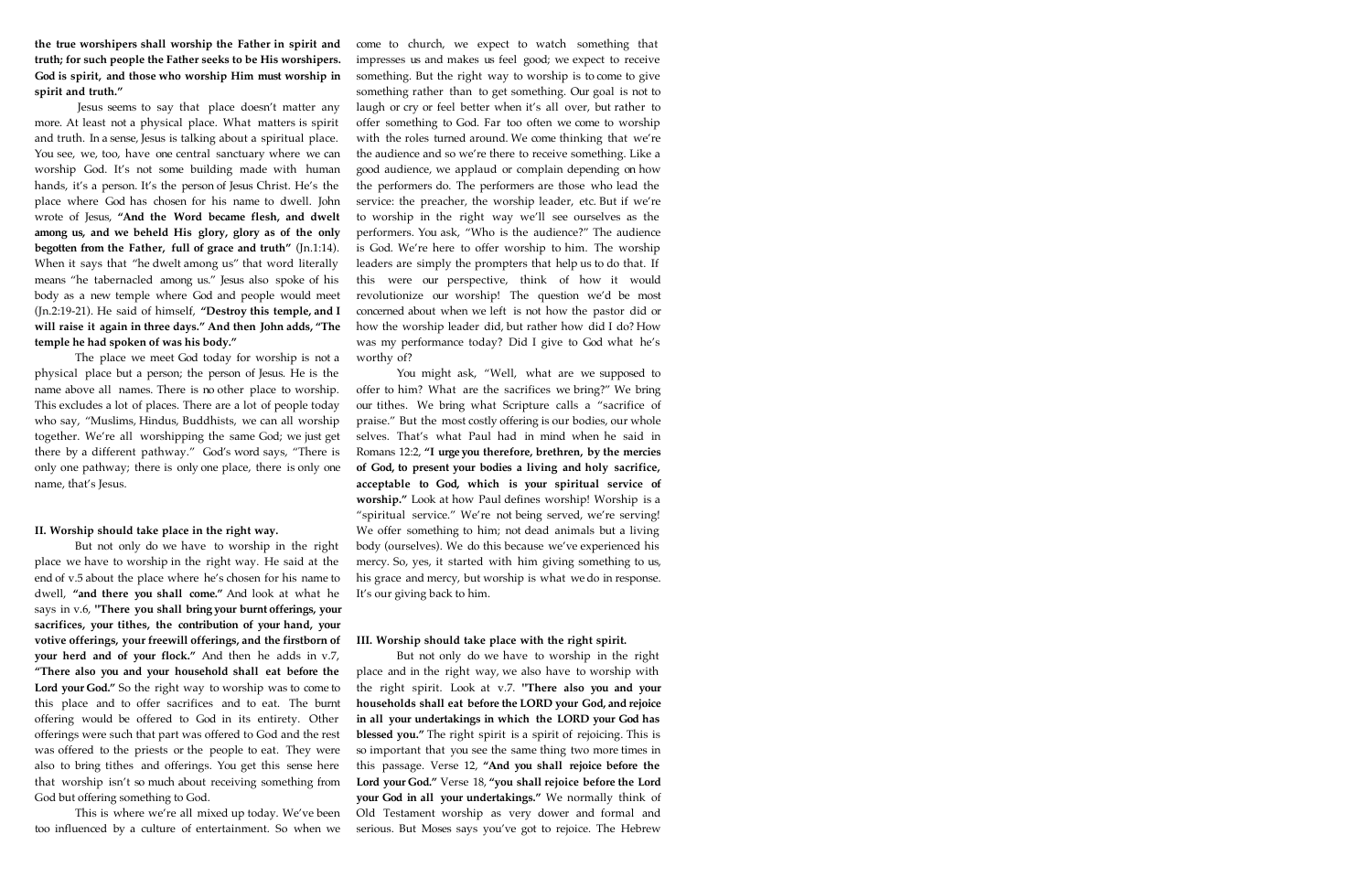**the true worshipers shall worship the Father in spirit and truth; for such people the Father seeks to be His worshipers. God is spirit, and those who worship Him must worship in spirit and truth."** 

Jesus seems to say that place doesn't matter any more. At least not a physical place. What matters is spirit and truth. In a sense, Jesus is talking about a spiritual place. You see, we, too, have one central sanctuary where we can worship God. It's not some building made with human hands, it's a person. It's the person of Jesus Christ. He's the place where God has chosen for his name to dwell. John wrote of Jesus, **"And the Word became flesh, and dwelt among us, and we beheld His glory, glory as of the only begotten from the Father, full of grace and truth"** (Jn.1:14). When it says that "he dwelt among us" that word literally means "he tabernacled among us." Jesus also spoke of his body as a new temple where God and people would meet (Jn.2:19-21). He said of himself, **"Destroy this temple, and I will raise it again in three days." And then John adds, "The temple he had spoken of was his body."**

The place we meet God today for worship is not a physical place but a person; the person of Jesus. He is the name above all names. There is no other place to worship. This excludes a lot of places. There are a lot of people today who say, "Muslims, Hindus, Buddhists, we can all worship together. We're all worshipping the same God; we just get there by a different pathway." God's word says, "There is only one pathway; there is only one place, there is only one name, that's Jesus.

#### II. Worship should take place in the right way.

But not only do we have to worship in the right place we have to worship in the right way. He said at the end of v.5 about the place where he's chosen for his name to dwell, **"and there you shall come."** And look at what he says in v.6, **"There you shall bring your burnt offerings, your sacrifices, your tithes, the contribution of your hand, your votive offerings, your freewill offerings, and the firstborn of your herd and of your flock."** And then he adds in v.7, **"There also you and your household shall eat before the Lord your God."** So the right way to worship was to come to this place and to offer sacrifices and to eat. The burnt offering would be offered to God in its entirety. Other offerings were such that part was offered to God and the rest was offered to the priests or the people to eat. They were also to bring tithes and offerings. You get this sense here that worship isn't so much about receiving something from God but offering something to God.

This is where we're all mixed up today. We've been too influenced by a culture of entertainment. So when we come to church, we expect to watch something that impresses us and makes us feel good; we expect to receive something. But the right way to worship is to come to give something rather than to get something. Our goal is not to laugh or cry or feel better when it's all over, but rather to offer something to God. Far too often we come to worship with the roles turned around. We come thinking that we're the audience and so we're there to receive something. Like a good audience, we applaud or complain depending on how the performers do. The performers are those who lead the service: the preacher, the worship leader, etc. But if we're to worship in the right way we'll see ourselves as the performers. You ask, "Who is the audience?" The audience is God. We're here to offer worship to him. The worship leaders are simply the prompters that help us to do that. If this were our perspective, think of how it would revolutionize our worship! The question we'd be most concerned about when we left is not how the pastor did or how the worship leader did, but rather how did I do? How was my performance today? Did I give to God what he's worthy of?

You might ask, "Well, what are we supposed to offer to him? What are the sacrifices we bring?" We bring our tithes. We bring what Scripture calls a "sacrifice of praise." But the most costly offering is our bodies, our whole selves. That's what Paul had in mind when he said in Romans 12:2, **"I urge you therefore, brethren, by the mercies of God, to present your bodies a living and holy sacrifice, acceptable to God, which is your spiritual service of worship."** Look at how Paul defines worship! Worship is a "spiritual service." We're not being served, we're serving! We offer something to him; not dead animals but a living body (ourselves). We do this because we've experienced his mercy. So, yes, it started with him giving something to us, his grace and mercy, but worship is what we do in response. It's our giving back to him.

#### III. Worship should take place with the right spirit.

But not only do we have to worship in the right place and in the right way, we also have to worship with the right spirit. Look at v.7. **"There also you and your households shall eat before the LORD your God, and rejoice in all your undertakings in which the LORD your God has blessed you."** The right spirit is a spirit of rejoicing. This is so important that you see the same thing two more times in this passage. Verse 12, **"And you shall rejoice before the Lord your God."** Verse 18, **"you shall rejoice before the Lord your God in all your undertakings."** We normally think of Old Testament worship as very dower and formal and serious. But Moses says you've got to rejoice. The Hebrew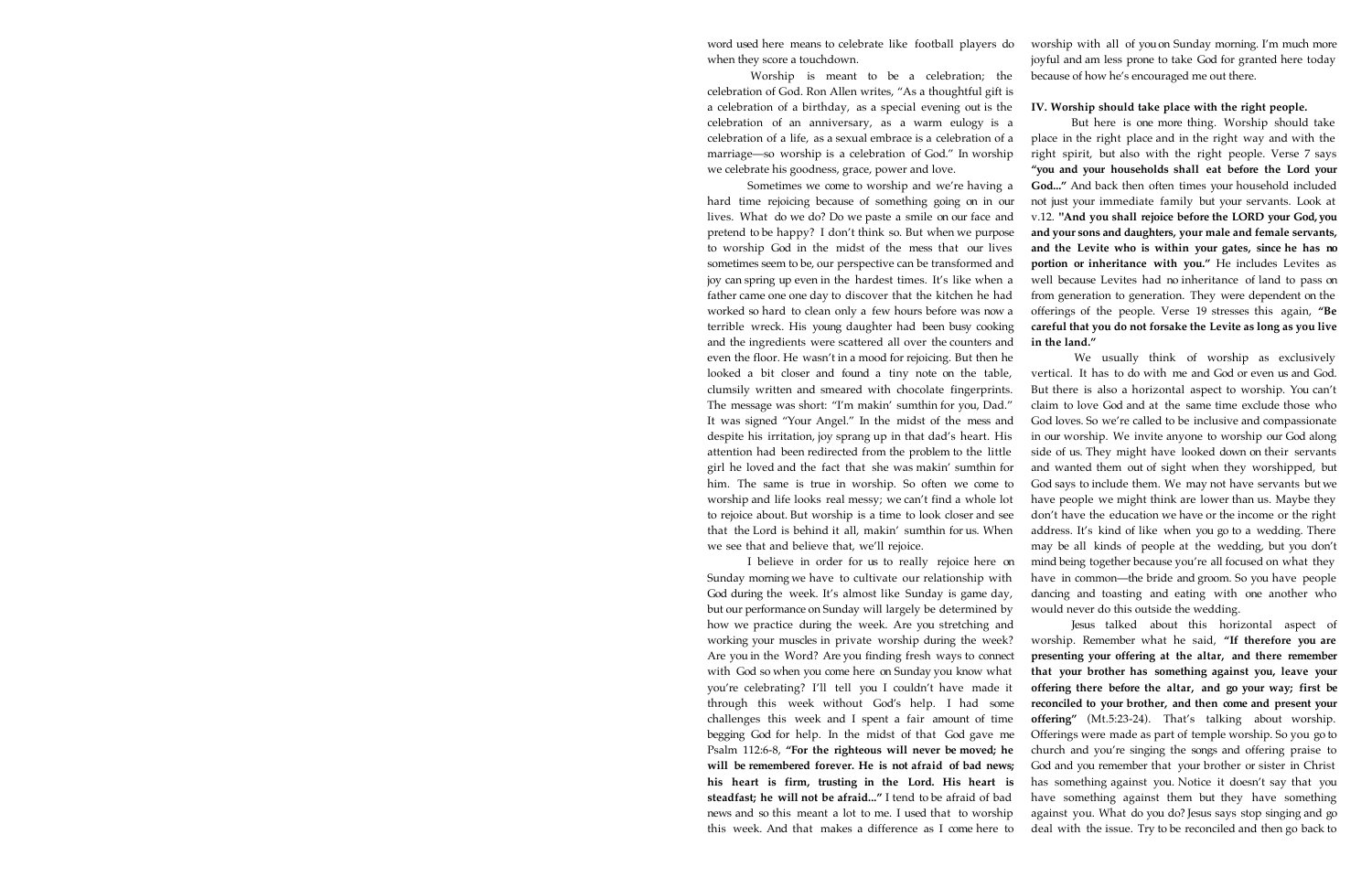word used here means to celebrate like football players do when they score a touchdown.

Worship is meant to be a celebration; the celebration of God. Ron Allen writes, "As a thoughtful gift is a celebration of a birthday, as a special evening out is the celebration of an anniversary, as a warm eulogy is a celebration of a life, as a sexual embrace is a celebration of a marriage—so worship is a celebration of God." In worship we celebrate his goodness, grace, power and love.

Sometimes we come to worship and we're having a hard time rejoicing because of something going on in our lives. What do we do? Do we paste a smile on our face and pretend to be happy? I don't think so. But when we purpose to worship God in the midst of the mess that our lives sometimes seem to be, our perspective can be transformed and joy can spring up even in the hardest times. It's like when a father came one one day to discover that the kitchen he had worked so hard to clean only a few hours before was now a terrible wreck. His young daughter had been busy cooking and the ingredients were scattered all over the counters and even the floor. He wasn't in a mood for rejoicing. But then he looked a bit closer and found a tiny note on the table, clumsily written and smeared with chocolate fingerprints. The message was short: "I'm makin' sumthin for you, Dad." It was signed "Your Angel." In the midst of the mess and despite his irritation, joy sprang up in that dad's heart. His attention had been redirected from the problem to the little girl he loved and the fact that she was makin' sumthin for him. The same is true in worship. So often we come to worship and life looks real messy; we can't find a whole lot to rejoice about. But worship is a time to look closer and see that the Lord is behind it all, makin' sumthin for us. When we see that and believe that, we'll rejoice.

I believe in order for us to really rejoice here on Sunday morning we have to cultivate our relationship with God during the week. It's almost like Sunday is game day, but our performance on Sunday will largely be determined by how we practice during the week. Are you stretching and working your muscles in private worship during the week? Are you in the Word? Are you finding fresh ways to connect with God so when you come here on Sunday you know what you're celebrating? I'll tell you I couldn't have made it through this week without God's help. I had some challenges this week and I spent a fair amount of time begging God for help. In the midst of that God gave me Psalm 112:6-8, **"For the righteous will never be moved; he will be remembered forever. He is not afraid of bad news; his heart is firm, trusting in the Lord. His heart is steadfast; he will not be afraid..."** I tend to be afraid of bad news and so this meant a lot to me. I used that to worship this week. And that makes a difference as I come here to worship with all of you on Sunday morning. I'm much more joyful and am less prone to take God for granted here today because of how he's encouraged me out there.

#### **IV. Worship should take place with the right people.**

But here is one more thing. Worship should take place in the right place and in the right way and with the right spirit, but also with the right people. Verse 7 says **"you and your households shall eat before the Lord your God..."** And back then often times your household included not just your immediate family but your servants. Look at v.12. **"And you shall rejoice before the LORD your God, you and your sons and daughters, your male and female servants, and the Levite who is within your gates, since he has no portion or inheritance with you."** He includes Levites as well because Levites had no inheritance of land to pass on from generation to generation. They were dependent on the offerings of the people. Verse 19 stresses this again, **"Be careful that you do not forsake the Levite as long as you live in the land."** 

We usually think of worship as exclusively vertical. It has to do with me and God or even us and God. But there is also a horizontal aspect to worship. You can't claim to love God and at the same time exclude those who God loves. So we're called to be inclusive and compassionate in our worship. We invite anyone to worship our God along side of us. They might have looked down on their servants and wanted them out of sight when they worshipped, but God says to include them. We may not have servants but we have people we might think are lower than us. Maybe they don't have the education we have or the income or the right address. It's kind of like when you go to a wedding. There may be all kinds of people at the wedding, but you don't mind being together because you're all focused on what they have in common—the bride and groom. So you have people dancing and toasting and eating with one another who would never do this outside the wedding.

Jesus talked about this horizontal aspect of worship. Remember what he said, **"If therefore you are presenting your offering at the altar, and there remember that your brother has something against you, leave your offering there before the altar, and go your way; first be reconciled to your brother, and then come and present your offering"** (Mt.5:23-24). That's talking about worship. Offerings were made as part of temple worship. So you go to church and you're singing the songs and offering praise to God and you remember that your brother or sister in Christ has something against you. Notice it doesn't say that you have something against them but they have something against you. What do you do? Jesus says stop singing and go deal with the issue. Try to be reconciled and then go back to